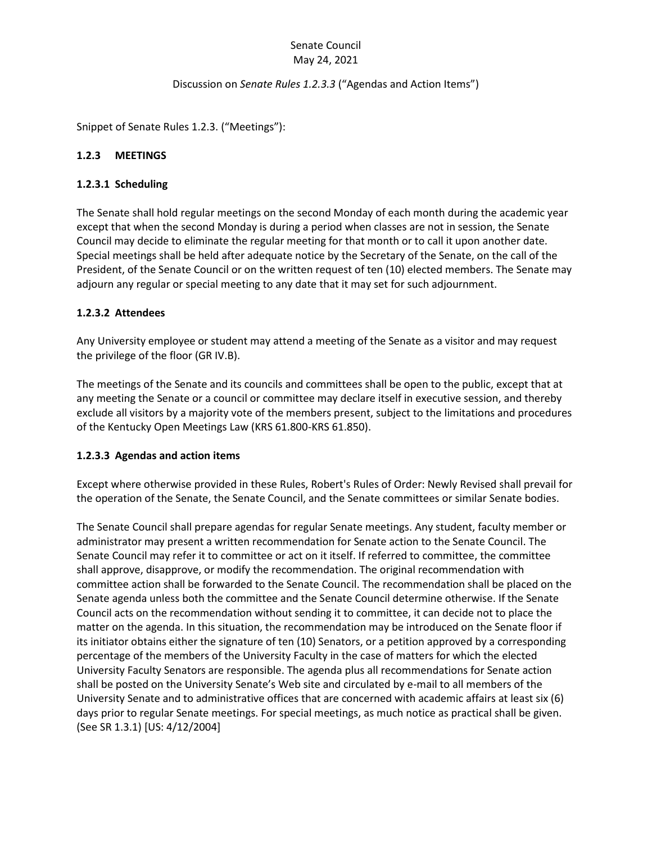# Senate Council May 24, 2021

#### Discussion on *Senate Rules 1.2.3.3* ("Agendas and Action Items")

Snippet of Senate Rules 1.2.3. ("Meetings"):

# **1.2.3 MEETINGS**

### **1.2.3.1 Scheduling**

The Senate shall hold regular meetings on the second Monday of each month during the academic year except that when the second Monday is during a period when classes are not in session, the Senate Council may decide to eliminate the regular meeting for that month or to call it upon another date. Special meetings shall be held after adequate notice by the Secretary of the Senate, on the call of the President, of the Senate Council or on the written request of ten (10) elected members. The Senate may adjourn any regular or special meeting to any date that it may set for such adjournment.

# **1.2.3.2 Attendees**

Any University employee or student may attend a meeting of the Senate as a visitor and may request the privilege of the floor (GR IV.B).

The meetings of the Senate and its councils and committees shall be open to the public, except that at any meeting the Senate or a council or committee may declare itself in executive session, and thereby exclude all visitors by a majority vote of the members present, subject to the limitations and procedures of the Kentucky Open Meetings Law (KRS 61.800-KRS 61.850).

#### **1.2.3.3 Agendas and action items**

Except where otherwise provided in these Rules, Robert's Rules of Order: Newly Revised shall prevail for the operation of the Senate, the Senate Council, and the Senate committees or similar Senate bodies.

The Senate Council shall prepare agendas for regular Senate meetings. Any student, faculty member or administrator may present a written recommendation for Senate action to the Senate Council. The Senate Council may refer it to committee or act on it itself. If referred to committee, the committee shall approve, disapprove, or modify the recommendation. The original recommendation with committee action shall be forwarded to the Senate Council. The recommendation shall be placed on the Senate agenda unless both the committee and the Senate Council determine otherwise. If the Senate Council acts on the recommendation without sending it to committee, it can decide not to place the matter on the agenda. In this situation, the recommendation may be introduced on the Senate floor if its initiator obtains either the signature of ten (10) Senators, or a petition approved by a corresponding percentage of the members of the University Faculty in the case of matters for which the elected University Faculty Senators are responsible. The agenda plus all recommendations for Senate action shall be posted on the University Senate's Web site and circulated by e-mail to all members of the University Senate and to administrative offices that are concerned with academic affairs at least six (6) days prior to regular Senate meetings. For special meetings, as much notice as practical shall be given. (See SR 1.3.1) [US: 4/12/2004]